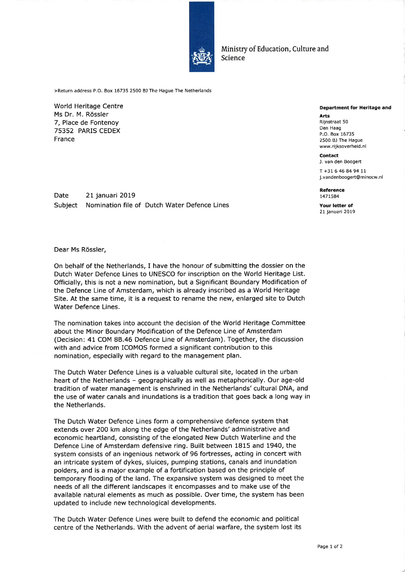

Ministry of Education, Culture and Science

>Return address P.O. Box 16735 2500 BJ The Hague The Netherlands

World Heritage Centre Ms Dr. M. Rössler 7, Place de Fontenoy 75352 PARIS CEDEX France

Date Subject 21 januari 2019 Nomination file of Dutch Water Defence Lines

## Department for Heritage and

Arts Rijnstraat 50 Den Haag P.O. Box 16735 2500 BJ The Hague www.rijksoverheid.nl

Contact J. van den Boogert T +31 6 46 84 94 11 j.vandenboogert@minocw.nl

Reference t47L584

Your letter of 21 januari 2019

Dear Ms Rössler,

On behalf of the Netherlands, I have the honour of submitting the dossier on the Dutch Water Defence Lines to UNESCO for inscription on the World Heritage List. Officially, this is not a new nomination, but a Significant Boundary Modification of the Defence Line of Amsterdam, which is already inscribed as a World Heritage Site. At the same time, it is a request to rename the new, enlarged site to Dutch Water Defence Lines.

The nomination takes into account the decision of the World Heritage Committee about the Minor Boundary Modification of the Defence Line of Amsterdam (Decision: 41 COM 88.46 Defence Line of Amsterdam). Together, the discussion with and advice from ICOMOS formed a significant contribution to this nomination, especially with regard to the management plan.

The Dutch Water Defence Lines is a valuable cultural site, located in the urban heart of the Netherlands - geographically as well as metaphorically. Our age-old tradition of water management is enshrined in the Netherlands' cultural DNA, and the use of water canals and inundations is a tradition that goes back a long way in the Netherlands.

The Dutch Water Defence Lines form a comprehensive defence system that extends over 200 km along the edge of the Netherlands' administrative and economic heartland, consisting of the elongated New Dutch Waterline and the Defence Line of Amsterdam defensive ring. Built between 1815 and 1940, the system consists of an ingenious network of 96 fortresses, acting in concert with an intricate system of dykes, sluices, pumping stations, canals and inundation polders, and is a major example of a fortification based on the principle of temporary flooding of the land. The expansive system was designed to meet the needs of all the different landscapes it encompasses and to make use of the available natural elements as much as possible. Over time, the system has been updated to include new technological developments.

The Dutch Water Defence Lines were built to defend the economic and political centre of the Netherlands. With the advent of aerial warfare, the system lost its